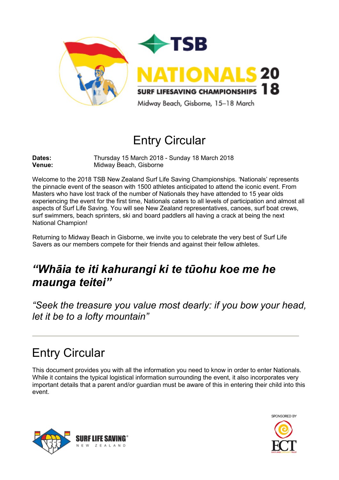

# Entry Circular

**Dates:** Thursday 15 March 2018 - Sunday 18 March 2018<br> **Venue:** Midway Beach. Gisborne **Midway Beach, Gisborne** 

Welcome to the 2018 TSB New Zealand Surf Life Saving Championships. 'Nationals' represents the pinnacle event of the season with 1500 athletes anticipated to attend the iconic event. From Masters who have lost track of the number of Nationals they have attended to 15 year olds experiencing the event for the first time, Nationals caters to all levels of participation and almost all aspects of Surf Life Saving. You will see New Zealand representatives, canoes, surf boat crews, surf swimmers, beach sprinters, ski and board paddlers all having a crack at being the next National Champion!

Returning to Midway Beach in Gisborne, we invite you to celebrate the very best of Surf Life Savers as our members compete for their friends and against their fellow athletes.

# *"Whāia te iti kahurangi ki te tūohu koe me he maunga teitei"*

*"Seek the treasure you value most dearly: if you bow your head, let it be to a lofty mountain"*

# Entry Circular

This document provides you with all the information you need to know in order to enter Nationals. While it contains the typical logistical information surrounding the event, it also incorporates very important details that a parent and/or guardian must be aware of this in entering their child into this event.



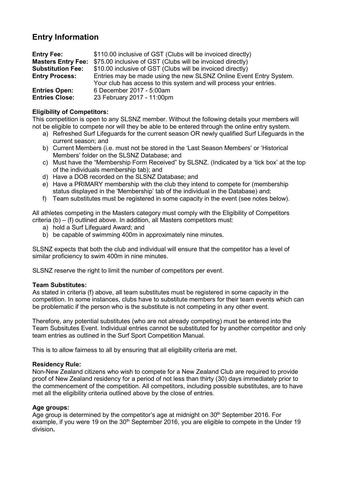# **Entry Information**

| <b>Entry Fee:</b>         | \$110.00 inclusive of GST (Clubs will be invoiced directly)        |
|---------------------------|--------------------------------------------------------------------|
| <b>Masters Entry Fee:</b> | \$75.00 inclusive of GST (Clubs will be invoiced directly)         |
| <b>Substitution Fee:</b>  | \$10.00 inclusive of GST (Clubs will be invoiced directly)         |
| <b>Entry Process:</b>     | Entries may be made using the new SLSNZ Online Event Entry System. |
|                           | Your club has access to this system and will process your entries. |
| <b>Entries Open:</b>      | 6 December 2017 - 5:00am                                           |
| <b>Entries Close:</b>     | 23 February 2017 - 11:00pm                                         |

## **Eligibility of Competitors:**

This competition is open to any SLSNZ member. Without the following details your members will not be eligible to compete nor will they be able to be entered through the online entry system.

- a) Refreshed Surf Lifeguards for the current season OR newly qualified Surf Lifeguards in the current season; and
- b) Current Members (i.e. must not be stored in the 'Last Season Members' or 'Historical Members' folder on the SLSNZ Database; and
- c) Must have the "Membership Form Received" by SLSNZ. (Indicated by a 'tick box' at the top of the individuals membership tab); and
- d) Have a DOB recorded on the SLSNZ Database; and
- e) Have a PRIMARY membership with the club they intend to compete for (membership status displayed in the 'Membership' tab of the individual in the Database) and;
- f) Team substitutes must be registered in some capacity in the event (see notes below).

All athletes competing in the Masters category must comply with the Eligibility of Competitors criteria (b) – (f) outlined above. In addition, all Masters competitors must:

- a) hold a Surf Lifeguard Award; and
- b) be capable of swimming 400m in approximately nine minutes.

SLSNZ expects that both the club and individual will ensure that the competitor has a level of similar proficiency to swim 400m in nine minutes.

SLSNZ reserve the right to limit the number of competitors per event.

### **Team Substitutes:**

As stated in criteria (f) above, all team substitutes must be registered in some capacity in the competition. In some instances, clubs have to substitute members for their team events which can be problematic if the person who is the substitute is not competing in any other event.

Therefore, any potential substitutes (who are not already competing) must be entered into the Team Subsitutes Event. Individual entries cannot be substituted for by another competitor and only team entries as outlined in the Surf Sport Competition Manual.

This is to allow fairness to all by ensuring that all eligibility criteria are met.

### **Residency Rule:**

Non-New Zealand citizens who wish to compete for a New Zealand Club are required to provide proof of New Zealand residency for a period of not less than thirty (30) days immediately prior to the commencement of the competition. All competitors, including possible substitutes, are to have met all the eligibility criteria outlined above by the close of entries.

### **Age groups:**

Age group is determined by the competitor's age at midnight on  $30<sup>th</sup>$  September 2016. For example, if you were 19 on the 30<sup>th</sup> September 2016, you are eligible to compete in the Under 19 division**.**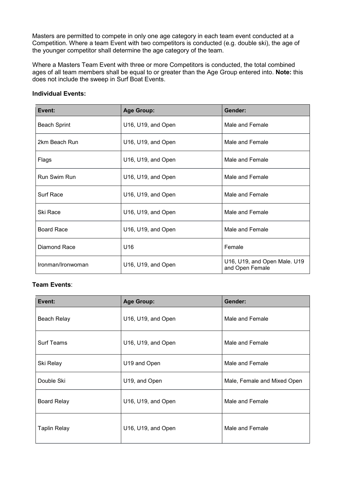Masters are permitted to compete in only one age category in each team event conducted at a Competition. Where a team Event with two competitors is conducted (e.g. double ski), the age of the younger competitor shall determine the age category of the team.

Where a Masters Team Event with three or more Competitors is conducted, the total combined ages of all team members shall be equal to or greater than the Age Group entered into. **Note:** this does not include the sweep in Surf Boat Events.

| <b>Individual Events:</b> |  |
|---------------------------|--|
|---------------------------|--|

| Event:              | <b>Age Group:</b>  | Gender:                                         |
|---------------------|--------------------|-------------------------------------------------|
| <b>Beach Sprint</b> | U16, U19, and Open | Male and Female                                 |
| 2km Beach Run       | U16, U19, and Open | Male and Female                                 |
| Flags               | U16, U19, and Open | Male and Female                                 |
| Run Swim Run        | U16, U19, and Open | Male and Female                                 |
| <b>Surf Race</b>    | U16, U19, and Open | Male and Female                                 |
| Ski Race            | U16, U19, and Open | Male and Female                                 |
| <b>Board Race</b>   | U16, U19, and Open | Male and Female                                 |
| Diamond Race        | U16                | Female                                          |
| Ironman/Ironwoman   | U16, U19, and Open | U16, U19, and Open Male. U19<br>and Open Female |

## **Team Events**:

| Event:              | <b>Age Group:</b>  | Gender:                     |
|---------------------|--------------------|-----------------------------|
| <b>Beach Relay</b>  | U16, U19, and Open | Male and Female             |
| <b>Surf Teams</b>   | U16, U19, and Open | Male and Female             |
| Ski Relay           | U19 and Open       | Male and Female             |
| Double Ski          | U19, and Open      | Male, Female and Mixed Open |
| <b>Board Relay</b>  | U16, U19, and Open | Male and Female             |
| <b>Taplin Relay</b> | U16, U19, and Open | Male and Female             |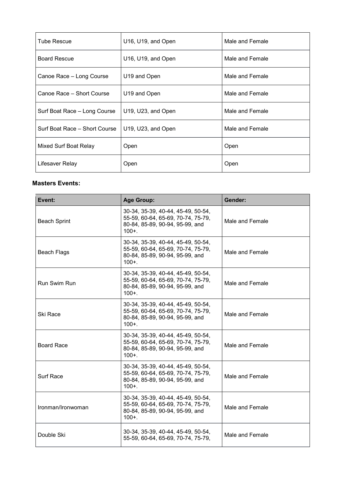| <b>Tube Rescue</b>            | U16, U19, and Open | Male and Female |
|-------------------------------|--------------------|-----------------|
| <b>Board Rescue</b>           | U16, U19, and Open | Male and Female |
| Canoe Race – Long Course      | U19 and Open       | Male and Female |
| Canoe Race - Short Course     | U19 and Open       | Male and Female |
| Surf Boat Race - Long Course  | U19, U23, and Open | Male and Female |
| Surf Boat Race - Short Course | U19, U23, and Open | Male and Female |
| Mixed Surf Boat Relay         | Open               | Open            |
| Lifesaver Relay               | Open               | Open            |

### **Masters Events:**

| Event:              | <b>Age Group:</b>                                                                                                        | Gender:         |
|---------------------|--------------------------------------------------------------------------------------------------------------------------|-----------------|
| <b>Beach Sprint</b> | 30-34, 35-39, 40-44, 45-49, 50-54,<br>55-59, 60-64, 65-69, 70-74, 75-79,<br>80-84, 85-89, 90-94, 95-99, and<br>$100 +$ . | Male and Female |
| Beach Flags         | 30-34, 35-39, 40-44, 45-49, 50-54,<br>55-59, 60-64, 65-69, 70-74, 75-79,<br>80-84, 85-89, 90-94, 95-99, and<br>$100 +$ . | Male and Female |
| <b>Run Swim Run</b> | 30-34, 35-39, 40-44, 45-49, 50-54,<br>55-59, 60-64, 65-69, 70-74, 75-79,<br>80-84, 85-89, 90-94, 95-99, and<br>$100 +$ . | Male and Female |
| Ski Race            | 30-34, 35-39, 40-44, 45-49, 50-54,<br>55-59, 60-64, 65-69, 70-74, 75-79,<br>80-84, 85-89, 90-94, 95-99, and<br>$100 + .$ | Male and Female |
| <b>Board Race</b>   | 30-34, 35-39, 40-44, 45-49, 50-54,<br>55-59, 60-64, 65-69, 70-74, 75-79,<br>80-84, 85-89, 90-94, 95-99, and<br>$100 +$ . | Male and Female |
| Surf Race           | 30-34, 35-39, 40-44, 45-49, 50-54,<br>55-59, 60-64, 65-69, 70-74, 75-79,<br>80-84, 85-89, 90-94, 95-99, and<br>$100 + .$ | Male and Female |
| Ironman/Ironwoman   | 30-34, 35-39, 40-44, 45-49, 50-54,<br>55-59, 60-64, 65-69, 70-74, 75-79,<br>80-84, 85-89, 90-94, 95-99, and<br>$100 +$ . | Male and Female |
| Double Ski          | 30-34, 35-39, 40-44, 45-49, 50-54,<br>55-59, 60-64, 65-69, 70-74, 75-79,                                                 | Male and Female |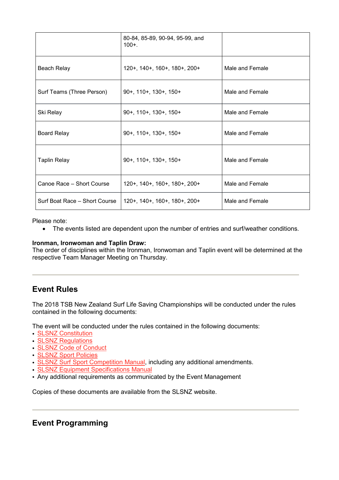|                               | 80-84, 85-89, 90-94, 95-99, and<br>$100 +$ . |                 |
|-------------------------------|----------------------------------------------|-----------------|
| Beach Relay                   | 120+, 140+, 160+, 180+, 200+                 | Male and Female |
| Surf Teams (Three Person)     | $90+$ , 110+, 130+, 150+                     | Male and Female |
| Ski Relay                     | $90+$ , 110+, 130+, 150+                     | Male and Female |
| <b>Board Relay</b>            | $90+$ , 110+, 130+, 150+                     | Male and Female |
| <b>Taplin Relay</b>           | 90+, 110+, 130+, 150+                        | Male and Female |
| Canoe Race - Short Course     | 120+, 140+, 160+, 180+, 200+                 | Male and Female |
| Surf Boat Race - Short Course | 120+, 140+, 160+, 180+, 200+                 | Male and Female |

Please note:

• The events listed are dependent upon the number of entries and surf/weather conditions.

### **Ironman, Ironwoman and Taplin Draw:**

The order of disciplines within the Ironman, Ironwoman and Taplin event will be determined at the respective Team Manager Meeting on Thursday.

## **Event Rules**

The 2018 TSB New Zealand Surf Life Saving Championships will be conducted under the rules contained in the following documents:

The event will be conducted under the rules contained in the following documents:

- SLSNZ [Constitution](http://www.surflifesaving.org.nz/organisation/about-us/management-documents/)
- SLSNZ [Regulations](http://www.surflifesaving.org.nz/organisation/about-us/management-documents/)
- SLSNZ Code of [Conduct](http://www.surflifesaving.org.nz/organisation/about-us/management-documents/)
- SLSNZ Sport [Policies](http://www.surflifesaving.org.nz/sport/about-us/sport-policies/)
- **SLSNZ Surf Sport [Competition](http://www.surflifesaving.org.nz/sport/about-us/surf-sport-manual/) Manual**, including any additional amendments.
- SLSNZ Equipment [Specifications](http://www.surflifesaving.org.nz/clubhouse/gear-shed/sport-documents/) Manual
- Any additional requirements as communicated by the Event Management

Copies of these documents are available from the SLSNZ website.

## **Event Programming**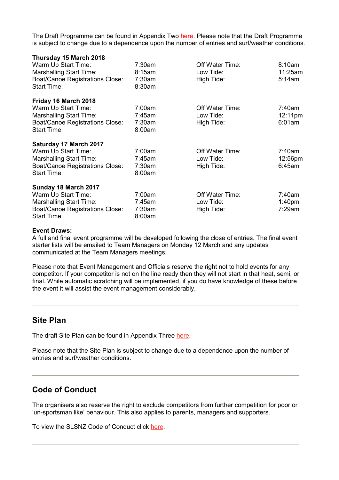The Draft Programme can be found in Appendix Two [here.](http://www.surflifesaving.org.nz/calendar/2018/march/tsb-new-zealand-surf-life-saving-championships-(nationals)/) Please note that the Draft Programme is subject to change due to a dependence upon the number of entries and surf/weather conditions.

| Thursday 15 March 2018                 |        |                 |                    |
|----------------------------------------|--------|-----------------|--------------------|
| Warm Up Start Time:                    | 7:30am | Off Water Time: | 8:10am             |
| <b>Marshalling Start Time:</b>         | 8:15am | Low Tide:       | 11:25am            |
| <b>Boat/Canoe Registrations Close:</b> | 7:30am | High Tide:      | 5:14am             |
| <b>Start Time:</b>                     | 8:30am |                 |                    |
| Friday 16 March 2018                   |        |                 |                    |
| Warm Up Start Time:                    | 7:00am | Off Water Time: | 7:40am             |
| <b>Marshalling Start Time:</b>         | 7:45am | Low Tide:       | 12:11pm            |
| <b>Boat/Canoe Registrations Close:</b> | 7:30am | High Tide:      | 6:01am             |
| <b>Start Time:</b>                     | 8:00am |                 |                    |
| Saturday 17 March 2017                 |        |                 |                    |
| Warm Up Start Time:                    | 7:00am | Off Water Time: | 7:40am             |
| <b>Marshalling Start Time:</b>         | 7:45am | Low Tide:       | 12:56pm            |
| <b>Boat/Canoe Registrations Close:</b> | 7:30am | High Tide:      | 6:45am             |
| <b>Start Time:</b>                     | 8:00am |                 |                    |
| Sunday 18 March 2017                   |        |                 |                    |
| Warm Up Start Time:                    | 7:00am | Off Water Time: | 7:40am             |
| <b>Marshalling Start Time:</b>         | 7:45am | Low Tide:       | 1:40 <sub>pm</sub> |
| <b>Boat/Canoe Registrations Close:</b> | 7:30am | High Tide:      | 7:29am             |
| <b>Start Time:</b>                     | 8:00am |                 |                    |
|                                        |        |                 |                    |

#### **Event Draws:**

A full and final event programme will be developed following the close of entries. The final event starter lists will be emailed to Team Managers on Monday 12 March and any updates communicated at the Team Managers meetings.

Please note that Event Management and Officials reserve the right not to hold events for any competitor. If your competitor is not on the line ready then they will not start in that heat, semi, or final. While automatic scratching will be implemented, if you do have knowledge of these before the event it will assist the event management considerably.

## **Site Plan**

The draft Site Plan can be found in Appendix Three [here.](http://www.surflifesaving.org.nz/calendar/2018/march/tsb-new-zealand-surf-life-saving-championships-(nationals)/)

Please note that the Site Plan is subject to change due to a dependence upon the number of entries and surf/weather conditions.

## **Code of Conduct**

The organisers also reserve the right to exclude competitors from further competition for poor or 'un-sportsman like' behaviour. This also applies to parents, managers and supporters.

To view the SLSNZ Code of Conduct click [here.](http://www.surflifesaving.org.nz/organisation/about-us/management-documents/)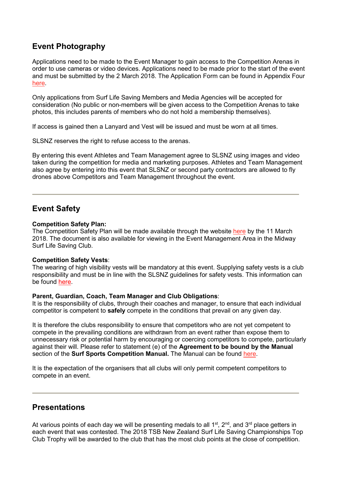## **Event Photography**

Applications need to be made to the Event Manager to gain access to the Competition Arenas in order to use cameras or video devices. Applications need to be made prior to the start of the event and must be submitted by the 2 March 2018. The Application Form can be found in Appendix Four [here.](http://www.surflifesaving.org.nz/calendar/2018/march/tsb-new-zealand-surf-life-saving-championships-(nationals)/)

Only applications from Surf Life Saving Members and Media Agencies will be accepted for consideration (No public or non-members will be given access to the Competition Arenas to take photos, this includes parents of members who do not hold a membership themselves).

If access is gained then a Lanyard and Vest will be issued and must be worn at all times.

SLSNZ reserves the right to refuse access to the arenas.

By entering this event Athletes and Team Management agree to SLSNZ using images and video taken during the competition for media and marketing purposes. Athletes and Team Management also agree by entering into this event that SLSNZ or second party contractors are allowed to fly drones above Competitors and Team Management throughout the event.

## **Event Safety**

### **Competition Safety Plan:**

The Competition Safety Plan will be made available through the website [here](http://www.surflifesaving.org.nz/calendar/2018/march/tsb-new-zealand-surf-life-saving-championships-(nationals)/) by the 11 March 2018. The document is also available for viewing in the Event Management Area in the Midway Surf Life Saving Club.

### **Competition Safety Vests**:

The wearing of high visibility vests will be mandatory at this event. Supplying safety vests is a club responsibility and must be in line with the SLSNZ guidelines for safety vests. This information can be found [here.](http://www.surflifesaving.org.nz/clubhouse/slsnzhighvisibilityvests)

### **Parent, Guardian, Coach, Team Manager and Club Obligations**:

It is the responsibility of clubs, through their coaches and manager, to ensure that each individual competitor is competent to **safely** compete in the conditions that prevail on any given day.

It is therefore the clubs responsibility to ensure that competitors who are not yet competent to compete in the prevailing conditions are withdrawn from an event rather than expose them to unnecessary risk or potential harm by encouraging or coercing competitors to compete, particularly against their will. Please refer to statement (e) of the **Agreement to be bound by the Manual** section of the **Surf Sports Competition Manual.** The Manual can be found [here.](http://www.surflifesaving.org.nz/sport/about-us/surf-sport-manual/)

It is the expectation of the organisers that all clubs will only permit competent competitors to compete in an event.

## **Presentations**

At various points of each day we will be presenting medals to all  $1<sup>st</sup>$ ,  $2<sup>nd</sup>$ , and  $3<sup>rd</sup>$  place getters in each event that was contested. The 2018 TSB New Zealand Surf Life Saving Championships Top Club Trophy will be awarded to the club that has the most club points at the close of competition.